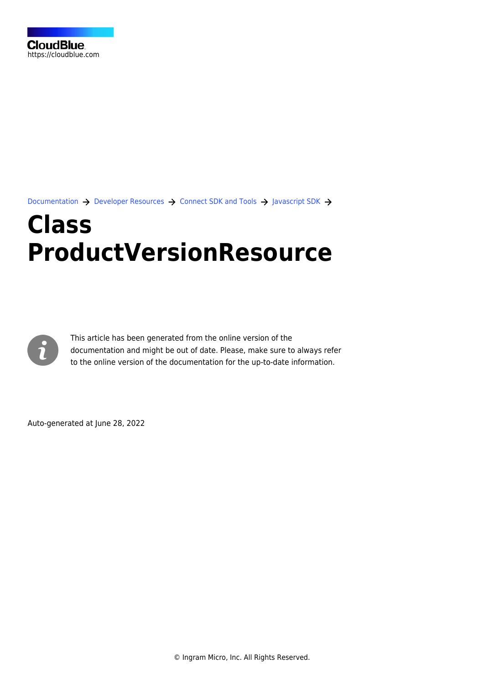[Documentation](https://connect.cloudblue.com/documentation)  $\rightarrow$  [Developer Resources](https://connect.cloudblue.com/community/developers/)  $\rightarrow$  [Connect SDK and Tools](https://connect.cloudblue.com/community/developers/sdk/)  $\rightarrow$  [Javascript SDK](https://connect.cloudblue.com/community/developers/sdk/javascript-sdk/)  $\rightarrow$ 

# **[Class](https://connect.cloudblue.com/community/developers/sdk/javascript-sdk/class-productversionresource/) [ProductVersionResource](https://connect.cloudblue.com/community/developers/sdk/javascript-sdk/class-productversionresource/)**



This article has been generated from the online version of the documentation and might be out of date. Please, make sure to always refer to the online version of the documentation for the up-to-date information.

Auto-generated at June 28, 2022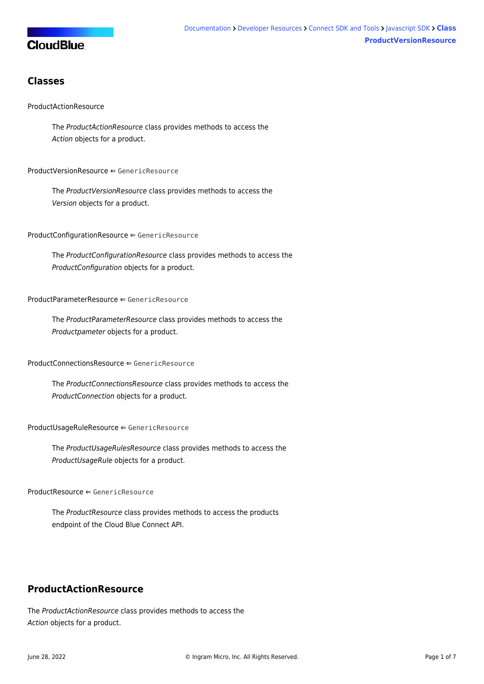# **CloudBlue**

# **Classes**

## [ProductActionResource](#page-1-0)

The ProductActionResource class provides methods to access the Action objects for a product.

#### [ProductVersionResource](#page-2-0) ⇐ GenericResource

The ProductVersionResource class provides methods to access the Version objects for a product.

[ProductConfigurationResource](#page-3-0) ⇐ GenericResource

The ProductConfigurationResource class provides methods to access the ProductConfiguration objects for a product.

#### [ProductParameterResource](#page-3-1) ⇐ GenericResource

The ProductParameterResource class provides methods to access the Productpameter objects for a product.

#### [ProductConnectionsResource](#page-3-2) ⇐ GenericResource

The ProductConnectionsResource class provides methods to access the ProductConnection objects for a product.

[ProductUsageRuleResource](#page-3-3) ⇐ GenericResource

The ProductUsageRulesResource class provides methods to access the ProductUsageRule objects for a product.

[ProductResource](#page-4-0) ⇐ GenericResource

The ProductResource class provides methods to access the products endpoint of the Cloud Blue Connect API.

# <span id="page-1-0"></span>**ProductActionResource**

The ProductActionResource class provides methods to access the Action objects for a product.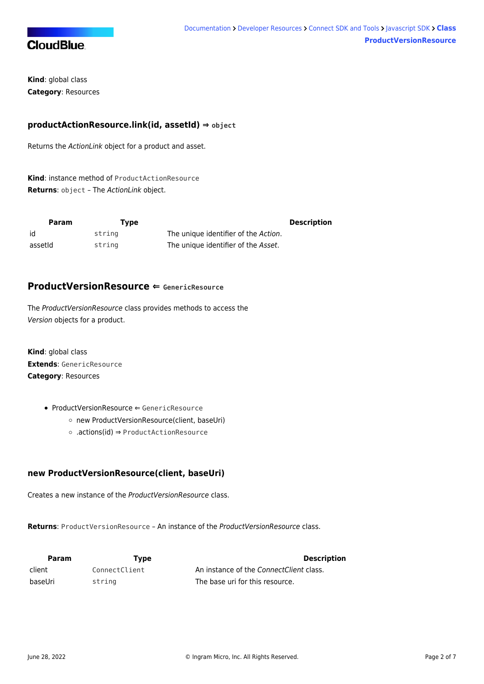

**Kind**: global class **Category**: Resources

# **productActionResource.link(id, assetId) ⇒ object**

Returns the ActionLink object for a product and asset.

**Kind**: instance method of [ProductActionResource](#page-1-0) **Returns**: object – The ActionLink object.

| Param   | Tvpe   |                                      | <b>Description</b> |
|---------|--------|--------------------------------------|--------------------|
| id      | string | The unique identifier of the Action. |                    |
| assetid | string | The unique identifier of the Asset.  |                    |

# <span id="page-2-0"></span>**ProductVersionResource ⇐ GenericResource**

The ProductVersionResource class provides methods to access the Version objects for a product.

**Kind**: global class **Extends**: GenericResource **Category**: Resources

- [ProductVersionResource](#page-2-0) ← GenericResource
	- [new ProductVersionResource\(client, baseUri\)](#page-2-1)
	- [.actions\(id\)](#page-2-2) ⇒ [ProductActionResource](#page-1-0)

# <span id="page-2-1"></span>**new ProductVersionResource(client, baseUri)**

Creates a new instance of the ProductVersionResource class.

**Returns**: [ProductVersionResource](#page-2-0) – An instance of the ProductVersionResource class.

<span id="page-2-2"></span>

| <b>Param</b> | Tvpe          | <b>Description</b>                      |
|--------------|---------------|-----------------------------------------|
| client       | ConnectClient | An instance of the ConnectClient class. |
| baseUri      | string        | The base uri for this resource.         |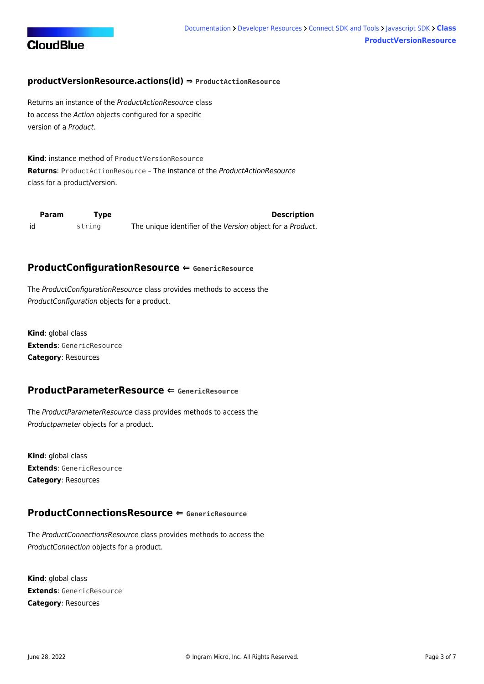

## **productVersionResource.actions(id) ⇒ [ProductActionResource](#page-1-0)**

Returns an instance of the ProductActionResource class to access the Action objects configured for a specific version of a Product.

**Kind**: instance method of [ProductVersionResource](#page-2-0) **Returns**: [ProductActionResource](#page-1-0) – The instance of the ProductActionResource class for a product/version.

<span id="page-3-0"></span>

| Param | Tvpe   | <b>Description</b>                                         |
|-------|--------|------------------------------------------------------------|
| id    | strina | The unique identifier of the Version object for a Product. |

## **ProductConfigurationResource ⇐ GenericResource**

The ProductConfigurationResource class provides methods to access the ProductConfiguration objects for a product.

**Kind**: global class **Extends**: GenericResource **Category**: Resources

## <span id="page-3-1"></span>**ProductParameterResource ⇐ GenericResource**

The ProductParameterResource class provides methods to access the Productpameter objects for a product.

**Kind**: global class **Extends**: GenericResource **Category**: Resources

# <span id="page-3-2"></span>**ProductConnectionsResource ⇐ GenericResource**

The ProductConnectionsResource class provides methods to access the ProductConnection objects for a product.

<span id="page-3-3"></span>**Kind**: global class **Extends**: GenericResource **Category**: Resources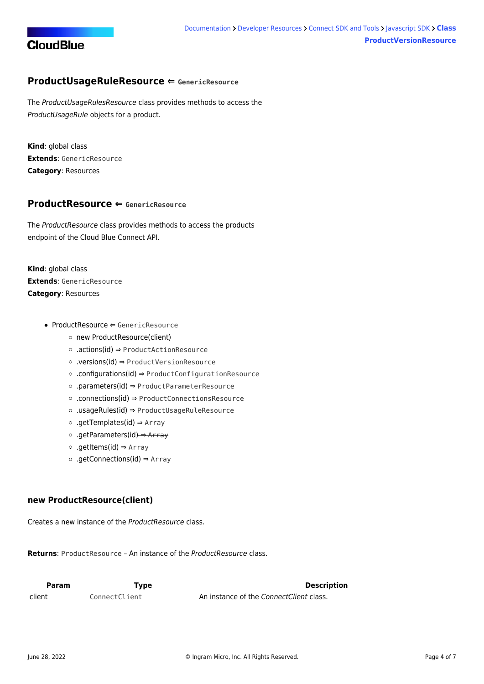

# **ProductUsageRuleResource ⇐ GenericResource**

The ProductUsageRulesResource class provides methods to access the ProductUsageRule objects for a product.

**Kind**: global class **Extends**: GenericResource **Category**: Resources

## <span id="page-4-0"></span>**ProductResource ⇐ GenericResource**

The ProductResource class provides methods to access the products endpoint of the Cloud Blue Connect API.

**Kind**: global class **Extends**: GenericResource **Category**: Resources

- [ProductResource](#page-4-0) ⇐ GenericResource
	- [new ProductResource\(client\)](#page-4-1)
	- [.actions\(id\)](#page-4-2) ⇒ [ProductActionResource](#page-1-0)
	- [.versions\(id\)](#page-5-0) ⇒ [ProductVersionResource](#page-2-0)
	- [.configurations\(id\)](#page-5-1) ⇒ [ProductConfigurationResource](#page-3-0)
	- [.parameters\(id\)](#page-5-2) ⇒ [ProductParameterResource](#page-3-1)
	- [.connections\(id\)](#page-6-0) ⇒ [ProductConnectionsResource](#page-3-2)
	- [.usageRules\(id\)](#page-6-1) ⇒ [ProductUsageRuleResource](#page-3-3)
	- [.getTemplates\(id\)](#page-6-2) ⇒ Array
	- [.getParameters\(id\)](#page-6-3) ⇒ Array
	- [.getItems\(id\)](#page-7-0) ⇒ Array
	- [.getConnections\(id\)](#page-7-1) ⇒ Array

## <span id="page-4-1"></span>**new ProductResource(client)**

Creates a new instance of the ProductResource class.

**Returns**: [ProductResource](#page-4-0) – An instance of the ProductResource class.

<span id="page-4-2"></span>

| <b>Param</b> | Tvpe          | <b>Description</b>                      |
|--------------|---------------|-----------------------------------------|
| client       | ConnectClient | An instance of the ConnectClient class. |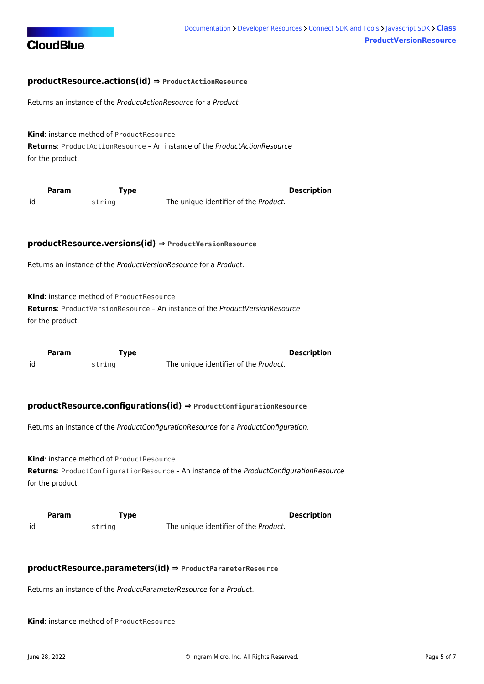

## **productResource.actions(id) ⇒ [ProductActionResource](#page-1-0)**

Returns an instance of the ProductActionResource for a Product.

**Kind**: instance method of [ProductResource](#page-4-0) **Returns**: [ProductActionResource](#page-1-0) – An instance of the ProductActionResource for the product.

<span id="page-5-0"></span>

|    | Param | Type   | <b>Description</b>                    |  |
|----|-------|--------|---------------------------------------|--|
| id |       | string | The unique identifier of the Product. |  |

#### **productResource.versions(id) ⇒ [ProductVersionResource](#page-2-0)**

Returns an instance of the ProductVersionResource for a Product.

**Kind**: instance method of [ProductResource](#page-4-0)

**Returns**: [ProductVersionResource](#page-2-0) – An instance of the ProductVersionResource for the product.

<span id="page-5-1"></span>

|    | <b>Param</b> | Type   | <b>Description</b>                    |
|----|--------------|--------|---------------------------------------|
| id |              | string | The unique identifier of the Product. |

#### **productResource.configurations(id) ⇒ [ProductConfigurationResource](#page-3-0)**

Returns an instance of the ProductConfigurationResource for a ProductConfiguration.

**Kind**: instance method of [ProductResource](#page-4-0) **Returns**: [ProductConfigurationResource](#page-3-0) – An instance of the ProductConfigurationResource for the product.

<span id="page-5-2"></span>

|    | Param | Type   |                                       | <b>Description</b> |
|----|-------|--------|---------------------------------------|--------------------|
| id |       | string | The unique identifier of the Product. |                    |

#### **productResource.parameters(id) ⇒ [ProductParameterResource](#page-3-1)**

Returns an instance of the ProductParameterResource for a Product.

**Kind**: instance method of [ProductResource](#page-4-0)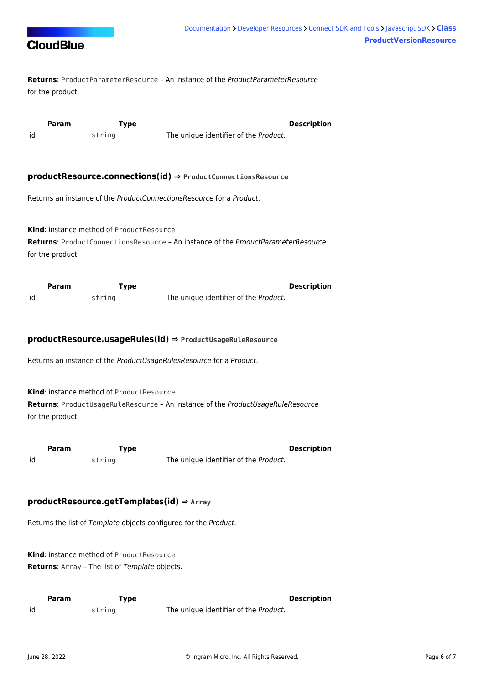

**Returns**: [ProductParameterResource](#page-3-1) – An instance of the ProductParameterResource for the product.

<span id="page-6-0"></span>

|    | Param | Type   |                                       | <b>Description</b> |
|----|-------|--------|---------------------------------------|--------------------|
| id |       | string | The unique identifier of the Product. |                    |

#### **productResource.connections(id) ⇒ [ProductConnectionsResource](#page-3-2)**

Returns an instance of the ProductConnectionsResource for a Product.

**Kind**: instance method of [ProductResource](#page-4-0) **Returns**: [ProductConnectionsResource](#page-3-2) – An instance of the ProductParameterResource for the product.

<span id="page-6-1"></span>

|    | Param | Type   |                                       | <b>Description</b> |
|----|-------|--------|---------------------------------------|--------------------|
| id |       | string | The unique identifier of the Product. |                    |

### **productResource.usageRules(id) ⇒ [ProductUsageRuleResource](#page-3-3)**

Returns an instance of the ProductUsageRulesResource for a Product.

**Kind**: instance method of [ProductResource](#page-4-0)

**Returns**: [ProductUsageRuleResource](#page-3-3) – An instance of the ProductUsageRuleResource for the product.

<span id="page-6-2"></span>

|    | Param | rype   | <b>Description</b>                    |
|----|-------|--------|---------------------------------------|
| id |       | string | The unique identifier of the Product. |

## **productResource.getTemplates(id) ⇒ Array**

Returns the list of Template objects configured for the Product.

**Kind**: instance method of [ProductResource](#page-4-0) **Returns**: Array – The list of Template objects.

<span id="page-6-3"></span>

|    | <b>Param</b> | Type   |                                       | <b>Description</b> |
|----|--------------|--------|---------------------------------------|--------------------|
| id |              | strina | The unique identifier of the Product. |                    |